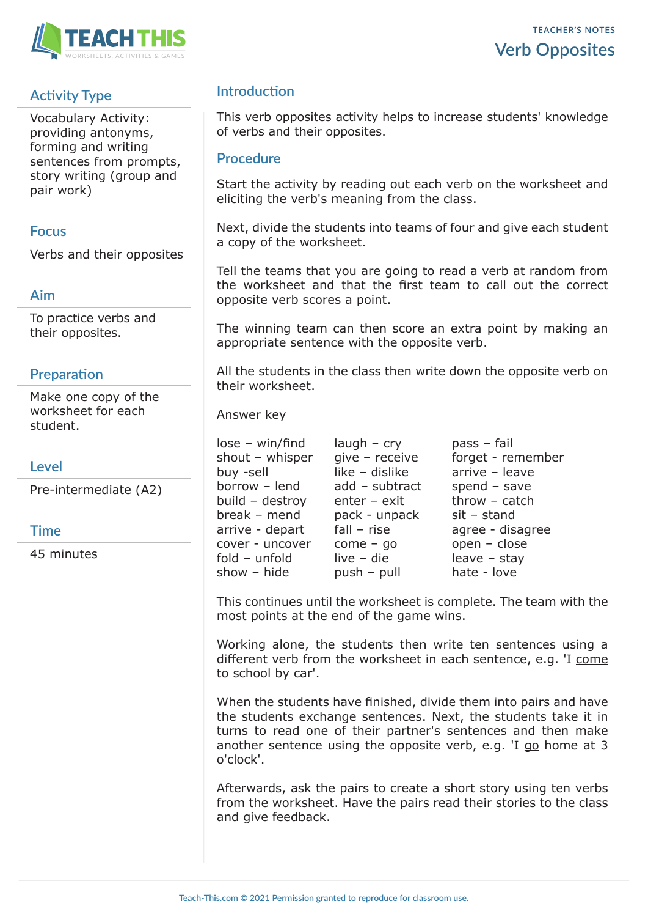

# **Activity Type**

Vocabulary Activity: providing antonyms, forming and writing sentences from prompts, story writing (group and pair work)

#### **Focus**

Verbs and their opposites

## **Aim**

To practice verbs and their opposites.

#### **Preparation**

Make one copy of the worksheet for each student.

## **Level**

Pre-intermediate (A2)

## **Time**

45 minutes

## **Introduction**

This verb opposites activity helps to increase students' knowledge of verbs and their opposites.

#### **Procedure**

Start the activity by reading out each verb on the worksheet and eliciting the verb's meaning from the class.

Next, divide the students into teams of four and give each student a copy of the worksheet.

Tell the teams that you are going to read a verb at random from the worksheet and that the first team to call out the correct opposite verb scores a point.

The winning team can then score an extra point by making an appropriate sentence with the opposite verb.

All the students in the class then write down the opposite verb on their worksheet.

Answer key

 $lose - win/find$   $laugh - cry$  pass – fail show – hide  $push - pull$  hate - love

buy -sell like – dislike arrive – leave borrow – lend add – subtract spend – save build – destroy enter – exit throw – catch break – mend pack - unpack sit – stand cover - uncover come – go open – close  $fold - unfold$  live – die leave – stay

shout – whisper give – receive forget - remember arrive - depart fall – rise agree - disagree

This continues until the worksheet is complete. The team with the most points at the end of the game wins.

Working alone, the students then write ten sentences using a different verb from the worksheet in each sentence, e.g. 'I come to school by car'.

When the students have finished, divide them into pairs and have the students exchange sentences. Next, the students take it in turns to read one of their partner's sentences and then make another sentence using the opposite verb, e.g. 'I go home at 3 o'clock'.

Afterwards, ask the pairs to create a short story using ten verbs from the worksheet. Have the pairs read their stories to the class and give feedback.